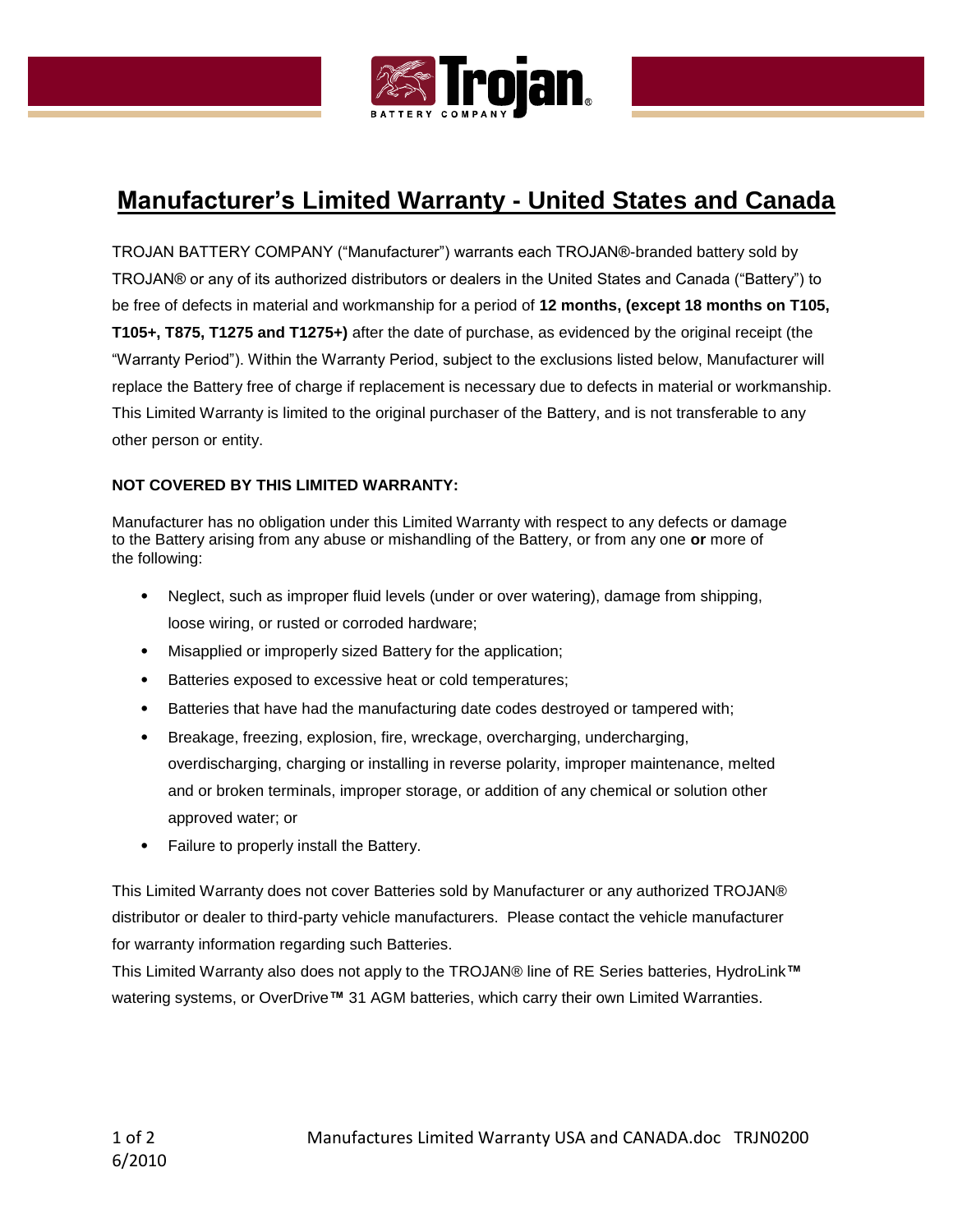

# **Manufacturer's Limited Warranty - United States and Canada**

TROJAN BATTERY COMPANY ("Manufacturer") warrants each TROJAN®-branded battery sold by TROJAN® or any of its authorized distributors or dealers in the United States and Canada ("Battery") to be free of defects in material and workmanship for a period of **12 months, (except 18 months on T105, T105+, T875, T1275 and T1275+)** after the date of purchase, as evidenced by the original receipt (the "Warranty Period"). Within the Warranty Period, subject to the exclusions listed below, Manufacturer will replace the Battery free of charge if replacement is necessary due to defects in material or workmanship. This Limited Warranty is limited to the original purchaser of the Battery, and is not transferable to any other person or entity.

# **NOT COVERED BY THIS LIMITED WARRANTY:**

Manufacturer has no obligation under this Limited Warranty with respect to any defects or damage to the Battery arising from any abuse or mishandling of the Battery, or from any one **or** more of the following:

- Neglect, such as improper fluid levels (under or over watering), damage from shipping, loose wiring, or rusted or corroded hardware;
- Misapplied or improperly sized Battery for the application;
- Batteries exposed to excessive heat or cold temperatures;
- Batteries that have had the manufacturing date codes destroyed or tampered with;
- Breakage, freezing, explosion, fire, wreckage, overcharging, undercharging, overdischarging, charging or installing in reverse polarity, improper maintenance, melted and or broken terminals, improper storage, or addition of any chemical or solution other approved water; or
- Failure to properly install the Battery.

This Limited Warranty does not cover Batteries sold by Manufacturer or any authorized TROJAN® distributor or dealer to third-party vehicle manufacturers. Please contact the vehicle manufacturer for warranty information regarding such Batteries.

This Limited Warranty also does not apply to the TROJAN® line of RE Series batteries, HydroLink**™** watering systems, or OverDrive**™** 31 AGM batteries, which carry their own Limited Warranties.